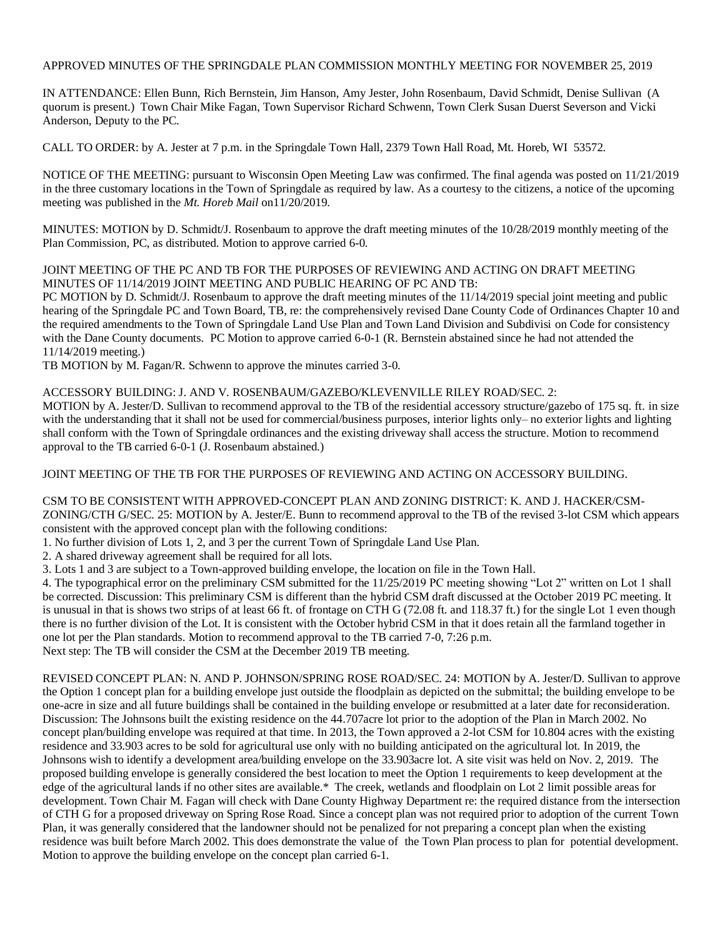# APPROVED MINUTES OF THE SPRINGDALE PLAN COMMISSION MONTHLY MEETING FOR NOVEMBER 25, 2019

IN ATTENDANCE: Ellen Bunn, Rich Bernstein, Jim Hanson, Amy Jester, John Rosenbaum, David Schmidt, Denise Sullivan (A quorum is present.) Town Chair Mike Fagan, Town Supervisor Richard Schwenn, Town Clerk Susan Duerst Severson and Vicki Anderson, Deputy to the PC.

CALL TO ORDER: by A. Jester at 7 p.m. in the Springdale Town Hall, 2379 Town Hall Road, Mt. Horeb, WI 53572.

NOTICE OF THE MEETING: pursuant to Wisconsin Open Meeting Law was confirmed. The final agenda was posted on 11/21/2019 in the three customary locations in the Town of Springdale as required by law. As a courtesy to the citizens, a notice of the upcoming meeting was published in the *Mt. Horeb Mail* on11/20/2019.

MINUTES: MOTION by D. Schmidt/J. Rosenbaum to approve the draft meeting minutes of the 10/28/2019 monthly meeting of the Plan Commission, PC, as distributed. Motion to approve carried 6-0.

## JOINT MEETING OF THE PC AND TB FOR THE PURPOSES OF REVIEWING AND ACTING ON DRAFT MEETING MINUTES OF 11/14/2019 JOINT MEETING AND PUBLIC HEARING OF PC AND TB:

PC MOTION by D. Schmidt/J. Rosenbaum to approve the draft meeting minutes of the 11/14/2019 special joint meeting and public hearing of the Springdale PC and Town Board, TB, re: the comprehensively revised Dane County Code of Ordinances Chapter 10 and the required amendments to the Town of Springdale Land Use Plan and Town Land Division and Subdivisi on Code for consistency with the Dane County documents. PC Motion to approve carried 6-0-1 (R. Bernstein abstained since he had not attended the 11/14/2019 meeting.)

TB MOTION by M. Fagan/R. Schwenn to approve the minutes carried 3-0.

## ACCESSORY BUILDING: J. AND V. ROSENBAUM/GAZEBO/KLEVENVILLE RILEY ROAD/SEC. 2:

MOTION by A. Jester/D. Sullivan to recommend approval to the TB of the residential accessory structure/gazebo of 175 sq. ft. in size with the understanding that it shall not be used for commercial/business purposes, interior lights only– no exterior lights and lighting shall conform with the Town of Springdale ordinances and the existing driveway shall access the structure. Motion to recommend approval to the TB carried 6-0-1 (J. Rosenbaum abstained.)

JOINT MEETING OF THE TB FOR THE PURPOSES OF REVIEWING AND ACTING ON ACCESSORY BUILDING.

#### CSM TO BE CONSISTENT WITH APPROVED-CONCEPT PLAN AND ZONING DISTRICT: K. AND J. HACKER/CSM-

ZONING/CTH G/SEC. 25: MOTION by A. Jester/E. Bunn to recommend approval to the TB of the revised 3-lot CSM which appears consistent with the approved concept plan with the following conditions:

1. No further division of Lots 1, 2, and 3 per the current Town of Springdale Land Use Plan.

2. A shared driveway agreement shall be required for all lots.

3. Lots 1 and 3 are subject to a Town-approved building envelope, the location on file in the Town Hall.

4. The typographical error on the preliminary CSM submitted for the 11/25/2019 PC meeting showing "Lot 2" written on Lot 1 shall be corrected. Discussion: This preliminary CSM is different than the hybrid CSM draft discussed at the October 2019 PC meeting. It is unusual in that is shows two strips of at least 66 ft. of frontage on CTH G (72.08 ft. and 118.37 ft.) for the single Lot 1 even though there is no further division of the Lot. It is consistent with the October hybrid CSM in that it does retain all the farmland together in one lot per the Plan standards. Motion to recommend approval to the TB carried 7-0, 7:26 p.m.

Next step: The TB will consider the CSM at the December 2019 TB meeting.

REVISED CONCEPT PLAN: N. AND P. JOHNSON/SPRING ROSE ROAD/SEC. 24: MOTION by A. Jester/D. Sullivan to approve the Option 1 concept plan for a building envelope just outside the floodplain as depicted on the submittal; the building envelope to be one-acre in size and all future buildings shall be contained in the building envelope or resubmitted at a later date for reconsideration. Discussion: The Johnsons built the existing residence on the 44.707acre lot prior to the adoption of the Plan in March 2002. No concept plan/building envelope was required at that time. In 2013, the Town approved a 2-lot CSM for 10.804 acres with the existing residence and 33.903 acres to be sold for agricultural use only with no building anticipated on the agricultural lot. In 2019, the Johnsons wish to identify a development area/building envelope on the 33.903acre lot. A site visit was held on Nov. 2, 2019. The proposed building envelope is generally considered the best location to meet the Option 1 requirements to keep development at the edge of the agricultural lands if no other sites are available.\* The creek, wetlands and floodplain on Lot 2 limit possible areas for development. Town Chair M. Fagan will check with Dane County Highway Department re: the required distance from the intersection of CTH G for a proposed driveway on Spring Rose Road. Since a concept plan was not required prior to adoption of the current Town Plan, it was generally considered that the landowner should not be penalized for not preparing a concept plan when the existing residence was built before March 2002. This does demonstrate the value of the Town Plan process to plan for potential development. Motion to approve the building envelope on the concept plan carried 6-1.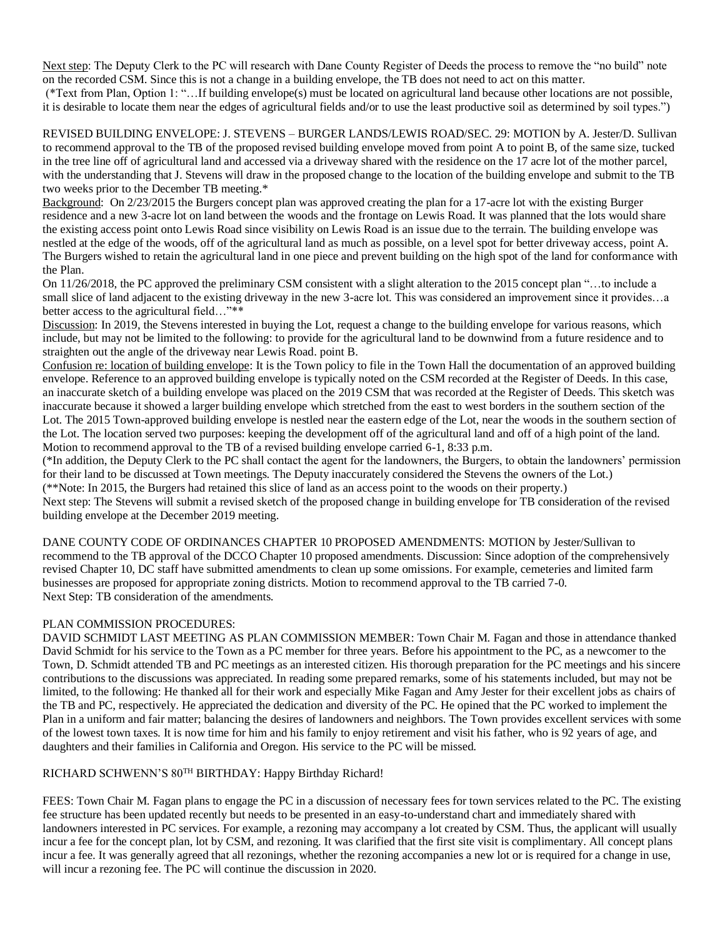Next step: The Deputy Clerk to the PC will research with Dane County Register of Deeds the process to remove the "no build" note on the recorded CSM. Since this is not a change in a building envelope, the TB does not need to act on this matter.

(\*Text from Plan, Option 1: "…If building envelope(s) must be located on agricultural land because other locations are not possible, it is desirable to locate them near the edges of agricultural fields and/or to use the least productive soil as determined by soil types.")

REVISED BUILDING ENVELOPE: J. STEVENS – BURGER LANDS/LEWIS ROAD/SEC. 29: MOTION by A. Jester/D. Sullivan to recommend approval to the TB of the proposed revised building envelope moved from point A to point B, of the same size, tucked in the tree line off of agricultural land and accessed via a driveway shared with the residence on the 17 acre lot of the mother parcel, with the understanding that J. Stevens will draw in the proposed change to the location of the building envelope and submit to the TB two weeks prior to the December TB meeting.\*

Background: On 2/23/2015 the Burgers concept plan was approved creating the plan for a 17-acre lot with the existing Burger residence and a new 3-acre lot on land between the woods and the frontage on Lewis Road. It was planned that the lots would share the existing access point onto Lewis Road since visibility on Lewis Road is an issue due to the terrain. The building envelope was nestled at the edge of the woods, off of the agricultural land as much as possible, on a level spot for better driveway access, point A. The Burgers wished to retain the agricultural land in one piece and prevent building on the high spot of the land for conformance with the Plan.

On 11/26/2018, the PC approved the preliminary CSM consistent with a slight alteration to the 2015 concept plan "…to include a small slice of land adjacent to the existing driveway in the new 3-acre lot. This was considered an improvement since it provides...a better access to the agricultural field…"\*\*

Discussion: In 2019, the Stevens interested in buying the Lot, request a change to the building envelope for various reasons, which include, but may not be limited to the following: to provide for the agricultural land to be downwind from a future residence and to straighten out the angle of the driveway near Lewis Road. point B.

Confusion re: location of building envelope: It is the Town policy to file in the Town Hall the documentation of an approved building envelope. Reference to an approved building envelope is typically noted on the CSM recorded at the Register of Deeds. In this case, an inaccurate sketch of a building envelope was placed on the 2019 CSM that was recorded at the Register of Deeds. This sketch was inaccurate because it showed a larger building envelope which stretched from the east to west borders in the southern section of the Lot. The 2015 Town-approved building envelope is nestled near the eastern edge of the Lot, near the woods in the southern section of the Lot. The location served two purposes: keeping the development off of the agricultural land and off of a high point of the land. Motion to recommend approval to the TB of a revised building envelope carried 6-1, 8:33 p.m.

(\*In addition, the Deputy Clerk to the PC shall contact the agent for the landowners, the Burgers, to obtain the landowners' permission for their land to be discussed at Town meetings. The Deputy inaccurately considered the Stevens the owners of the Lot.) (\*\*Note: In 2015, the Burgers had retained this slice of land as an access point to the woods on their property.)

Next step: The Stevens will submit a revised sketch of the proposed change in building envelope for TB consideration of the revised building envelope at the December 2019 meeting.

DANE COUNTY CODE OF ORDINANCES CHAPTER 10 PROPOSED AMENDMENTS: MOTION by Jester/Sullivan to recommend to the TB approval of the DCCO Chapter 10 proposed amendments. Discussion: Since adoption of the comprehensively revised Chapter 10, DC staff have submitted amendments to clean up some omissions. For example, cemeteries and limited farm businesses are proposed for appropriate zoning districts. Motion to recommend approval to the TB carried 7-0. Next Step: TB consideration of the amendments.

# PLAN COMMISSION PROCEDURES:

DAVID SCHMIDT LAST MEETING AS PLAN COMMISSION MEMBER: Town Chair M. Fagan and those in attendance thanked David Schmidt for his service to the Town as a PC member for three years. Before his appointment to the PC, as a newcomer to the Town, D. Schmidt attended TB and PC meetings as an interested citizen. His thorough preparation for the PC meetings and his sincere contributions to the discussions was appreciated. In reading some prepared remarks, some of his statements included, but may not be limited, to the following: He thanked all for their work and especially Mike Fagan and Amy Jester for their excellent jobs as chairs of the TB and PC, respectively. He appreciated the dedication and diversity of the PC. He opined that the PC worked to implement the Plan in a uniform and fair matter; balancing the desires of landowners and neighbors. The Town provides excellent services with some of the lowest town taxes. It is now time for him and his family to enjoy retirement and visit his father, who is 92 years of age, and daughters and their families in California and Oregon. His service to the PC will be missed.

# RICHARD SCHWENN'S 80<sup>TH</sup> BIRTHDAY: Happy Birthday Richard!

FEES: Town Chair M. Fagan plans to engage the PC in a discussion of necessary fees for town services related to the PC. The existing fee structure has been updated recently but needs to be presented in an easy-to-understand chart and immediately shared with landowners interested in PC services. For example, a rezoning may accompany a lot created by CSM. Thus, the applicant will usually incur a fee for the concept plan, lot by CSM, and rezoning. It was clarified that the first site visit is complimentary. All concept plans incur a fee. It was generally agreed that all rezonings, whether the rezoning accompanies a new lot or is required for a change in use, will incur a rezoning fee. The PC will continue the discussion in 2020.